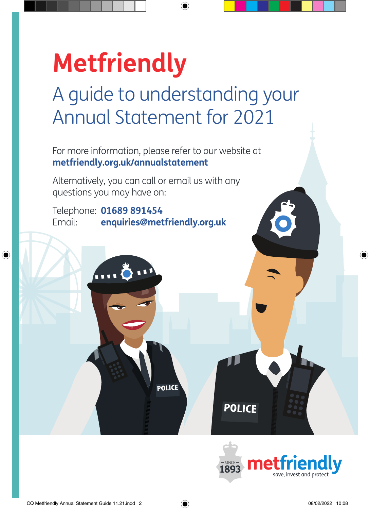# **Metfriendly**

### A guide to understanding your Annual Statement for 2021

For more information, please refer to our website at **metfriendly.org.uk/annualstatement**

Alternatively, you can call or email us with any questions you may have on:

Telephone: **01689 891454**<br>Email: **enauiries@met** Email: **enquiries@metfriendly.org.uk**

. . . .

**POLICE** 

**POLICE** 

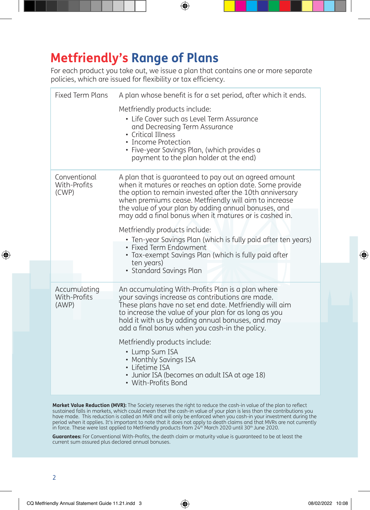### **Metfriendly's Range of Plans**

For each product you take out, we issue a plan that contains one or more separate policies, which are issued for flexibility or tax efficiency.

| Fixed Term Plans                      | A plan whose benefit is for a set period, after which it ends.                                                                                                                                                                                                                                                                                          |
|---------------------------------------|---------------------------------------------------------------------------------------------------------------------------------------------------------------------------------------------------------------------------------------------------------------------------------------------------------------------------------------------------------|
|                                       | Metfriendly products include:<br>• Life Cover such as Level Term Assurance<br>and Decreasing Term Assurance<br>• Critical Illness<br>• Income Protection<br>• Five-year Savings Plan, (which provides a<br>payment to the plan holder at the end)                                                                                                       |
| Conventional<br>With-Profits<br>(CWP) | A plan that is guaranteed to pay out an agreed amount<br>when it matures or reaches an option date. Some provide<br>the option to remain invested after the 10th anniversary<br>when premiums cease. Metfriendly will aim to increase<br>the value of your plan by adding annual bonuses, and<br>may add a final bonus when it matures or is cashed in. |
|                                       | Metfriendly products include:<br>• Ten-year Savings Plan (which is fully paid after ten years)<br>• Fixed Term Endowment<br>• Tax-exempt Savings Plan (which is fully paid after<br>ten years)<br>• Standard Savings Plan                                                                                                                               |
| Accumulating<br>With-Profits<br>(AWP) | An accumulating With-Profits Plan is a plan where<br>your savings increase as contributions are made.<br>These plans have no set end date. Metfriendly will aim<br>to increase the value of your plan for as long as you<br>hold it with us by adding annual bonuses, and may                                                                           |
|                                       | add a final bonus when you cash-in the policy.<br>Metfriendly products include:<br>• Lump Sum ISA<br>• Monthly Savings ISA<br>• Lifetime ISA<br>• Junior ISA (becomes an adult ISA at age 18)<br>• With-Profits Bond                                                                                                                                    |

**Market Value Reduction (MVR):** The Society reserves the right to reduce the cash-in value of the plan to reflect<br>sustained falls in markets, which could mean that the cash-in value of your plan is less than the contributi have made. This reduction is called an MVR and will only be enforced when you cash-in your investment during the<br>period when it applies. It's important to note that it does not apply to death claims and that MVRs are not c

**Guarantees:** For Conventional With-Profits, the death claim or maturity value is guaranteed to be at least the current sum assured plus declared annual bonuses.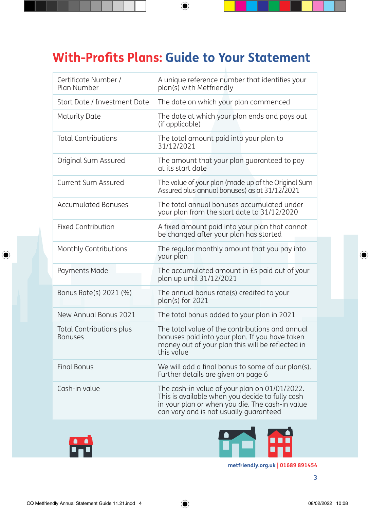### **With-Profits Plans: Guide to Your Statement**

| Certificate Number /<br>Plan Number               | A unique reference number that identifies your<br>plan(s) with Metfriendly                                                                                                                    |  |  |  |
|---------------------------------------------------|-----------------------------------------------------------------------------------------------------------------------------------------------------------------------------------------------|--|--|--|
| Start Date / Investment Date                      | The date on which your plan commenced                                                                                                                                                         |  |  |  |
| <b>Maturity Date</b>                              | The date at which your plan ends and pays out<br>(if applicable)                                                                                                                              |  |  |  |
| <b>Total Contributions</b>                        | The total amount paid into your plan to<br>31/12/2021                                                                                                                                         |  |  |  |
| Original Sum Assured                              | The amount that your plan guaranteed to pay<br>at its start date                                                                                                                              |  |  |  |
| Current Sum Assured                               | The value of your plan (made up of the Original Sum<br>Assured plus annual bonuses) as at 31/12/2021                                                                                          |  |  |  |
| <b>Accumulated Bonuses</b>                        | The total annual bonuses accumulated under<br>your plan from the start date to 31/12/2020                                                                                                     |  |  |  |
| <b>Fixed Contribution</b>                         | A fixed amount paid into your plan that cannot<br>be changed after your plan has started                                                                                                      |  |  |  |
| Monthly Contributions                             | The regular monthly amount that you pay into<br>your plan                                                                                                                                     |  |  |  |
| Payments Made                                     | The accumulated amount in £s paid out of your<br>plan up until 31/12/2021                                                                                                                     |  |  |  |
| Bonus Rate(s) 2021 (%)                            | The annual bonus rate(s) credited to your<br>plan(s) for 2021                                                                                                                                 |  |  |  |
| New Annual Bonus 2021                             | The total bonus added to your plan in 2021                                                                                                                                                    |  |  |  |
| <b>Total Contributions plus</b><br><b>Bonuses</b> | The total value of the contributions and annual<br>bonuses paid into your plan. If you have taken<br>money out of your plan this will be reflected in<br>this value                           |  |  |  |
| <b>Final Bonus</b>                                | We will add a final bonus to some of our plan(s).<br>Further details are given on page 6                                                                                                      |  |  |  |
| Cash-in value                                     | The cash-in value of your plan on 01/01/2022.<br>This is available when you decide to fully cash<br>in your plan or when you die. The cash-in value<br>can vary and is not usually guaranteed |  |  |  |





**metfriendly.org.uk | 01689 891454**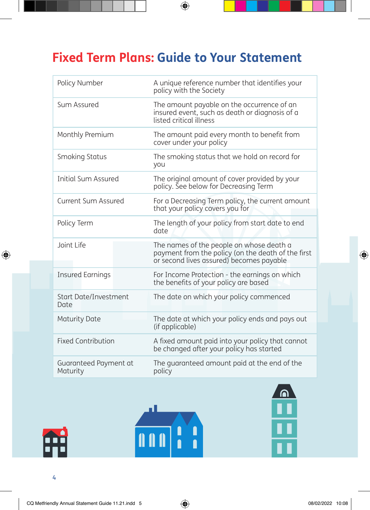### **Fixed Term Plans: Guide to Your Statement**

| Policy Number                     | A unique reference number that identifies your<br>policy with the Society                                                                  |  |  |  |
|-----------------------------------|--------------------------------------------------------------------------------------------------------------------------------------------|--|--|--|
| Sum Assured                       | The amount payable on the occurrence of an<br>insured event, such as death or diagnosis of a<br>listed critical illness                    |  |  |  |
| Monthly Premium                   | The amount paid every month to benefit from<br>cover under your policy                                                                     |  |  |  |
| Smoking Status                    | The smoking status that we hold on record for<br>you                                                                                       |  |  |  |
| Initial Sum Assured               | The original amount of cover provided by your<br>policy. See below for Decreasing Term                                                     |  |  |  |
| Current Sum Assured               | For a Decreasing Term policy, the current amount<br>that your policy covers you for                                                        |  |  |  |
| Policy Term                       | The length of your policy from start date to end<br><b>Ante</b>                                                                            |  |  |  |
| Joint Life                        | The names of the people on whose death a<br>payment from the policy (on the death of the first<br>or second lives assured) becomes payable |  |  |  |
| <b>Insured Earnings</b>           | For Income Protection - the earnings on which<br>the benefits of your policy are based                                                     |  |  |  |
| Start Date/Investment<br>Date     | The date on which your policy commenced                                                                                                    |  |  |  |
| <b>Maturity Date</b>              | The date at which your policy ends and pays out<br>(if applicable)                                                                         |  |  |  |
| <b>Fixed Contribution</b>         | A fixed amount paid into your policy that cannot<br>be changed after your policy has started                                               |  |  |  |
| Guaranteed Payment at<br>Maturity | The guaranteed amount paid at the end of the<br>policy                                                                                     |  |  |  |





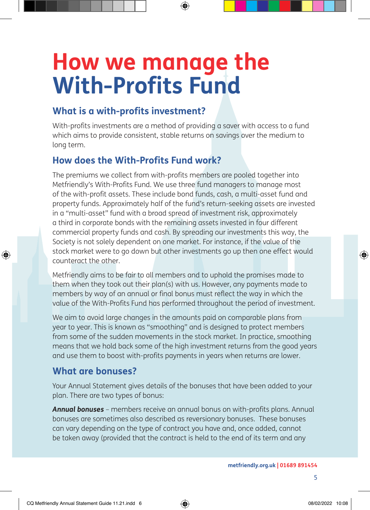## **How we manage the With-Profits Fund**

### **What is a with-profits investment?**

With-profits investments are a method of providing a saver with access to a fund which aims to provide consistent, stable returns on savings over the medium to long term.

### **How does the With-Profits Fund work?**

The premiums we collect from with-profits members are pooled together into Metfriendly's With-Profits Fund. We use three fund managers to manage most of the with-profit assets. These include bond funds, cash, a multi-asset fund and property funds. Approximately half of the fund's return-seeking assets are invested in a "multi-asset" fund with a broad spread of investment risk, approximately a third in corporate bonds with the remaining assets invested in four different commercial property funds and cash. By spreading our investments this way, the Society is not solely dependent on one market. For instance, if the value of the stock market were to go down but other investments go up then one effect would counteract the other.

Metfriendly aims to be fair to all members and to uphold the promises made to them when they took out their plan(s) with us. However, any payments made to members by way of an annual or final bonus must reflect the way in which the value of the With-Profits Fund has performed throughout the period of investment.

We aim to avoid large changes in the amounts paid on comparable plans from year to year. This is known as "smoothing" and is designed to protect members from some of the sudden movements in the stock market. In practice, smoothing means that we hold back some of the high investment returns from the good years and use them to boost with-profits payments in years when returns are lower.

### **What are bonuses?**

Your Annual Statement gives details of the bonuses that have been added to your plan. There are two types of bonus:

*Annual bonuses* – members receive an annual bonus on with-profits plans. Annual bonuses are sometimes also described as reversionary bonuses. These bonuses can vary depending on the type of contract you have and, once added, cannot be taken away (provided that the contract is held to the end of its term and any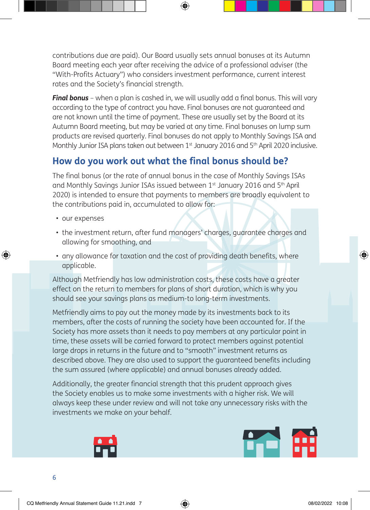contributions due are paid). Our Board usually sets annual bonuses at its Autumn Board meeting each year after receiving the advice of a professional adviser (the "With-Profits Actuary") who considers investment performance, current interest rates and the Society's financial strength.

*Final bonus* – when a plan is cashed in, we will usually add a final bonus. This will vary according to the type of contract you have. Final bonuses are not guaranteed and are not known until the time of payment. These are usually set by the Board at its Autumn Board meeting, but may be varied at any time. Final bonuses on lump sum products are revised quarterly. Final bonuses do not apply to Monthly Savings ISA and Monthly Junior ISA plans taken out between 1<sup>st</sup> January 2016 and 5<sup>th</sup> April 2020 inclusive.

### **How do you work out what the final bonus should be?**

The final bonus (or the rate of annual bonus in the case of Monthly Savings ISAs and Monthly Savinas Junior ISAs issued between 1st January 2016 and 5<sup>th</sup> April 2020) is intended to ensure that payments to members are broadly equivalent to the contributions paid in, accumulated to allow for:

- our expenses
- the investment return, after fund managers' charges, guarantee charges and allowing for smoothing, and
- any allowance for taxation and the cost of providing death benefits, where applicable.

Although Metfriendly has low administration costs, these costs have a greater effect on the return to members for plans of short duration, which is why you should see your savings plans as medium-to long-term investments.

Metfriendly aims to pay out the money made by its investments back to its members, after the costs of running the society have been accounted for. If the Society has more assets than it needs to pay members at any particular point in time, these assets will be carried forward to protect members against potential large drops in returns in the future and to "smooth" investment returns as described above. They are also used to support the guaranteed benefits including the sum assured (where applicable) and annual bonuses already added.

Additionally, the greater financial strength that this prudent approach gives the Society enables us to make some investments with a higher risk. We will always keep these under review and will not take any unnecessary risks with the investments we make on your behalf.



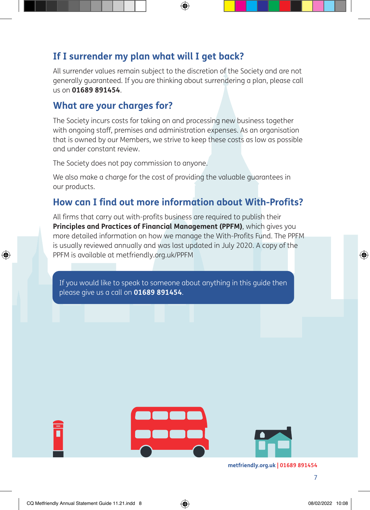### **If I surrender my plan what will I get back?**

All surrender values remain subject to the discretion of the Society and are not generally guaranteed. If you are thinking about surrendering a plan, please call us on **01689 891454**.

### **What are your charges for?**

The Society incurs costs for taking on and processing new business together with ongoing staff, premises and administration expenses. As an organisation that is owned by our Members, we strive to keep these costs as low as possible and under constant review.

The Society does not pay commission to anyone.

We also make a charge for the cost of providing the valuable guarantees in our products.

### **How can I find out more information about With-Profits?**

All firms that carry out with-profits business are required to publish their **Principles and Practices of Financial Management (PPFM)**, which gives you more detailed information on how we manage the With-Profits Fund. The PPFM is usually reviewed annually and was last updated in July 2020. A copy of the PPFM is available at metfriendly.org.uk/PPFM

If you would like to speak to someone about anything in this guide then please give us a call on **01689 891454**.







**metfriendly.org.uk | 01689 891454**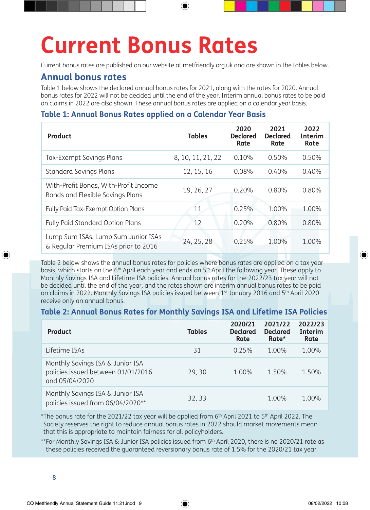## **Current Bonus Rates**

Current bonus rates are published on our website at metfriendly.org.uk and are shown in the tables below.

### **Annual bonus rates**

Table 1 below shows the declared annual bonus rates for 2021, along with the rates for 2020. Annual bonus rates for 2022 will not be decided until the end of the year. Interim annual bonus rates to be paid on claims in 2022 are also shown. These annual bonus rates are applied on a calendar year basis.

### **Table 1: Annual Bonus Rates applied on a Calendar Year Basis**

| Product                                                                     | <b>Tables</b>     | 2020<br><b>Declared</b><br>Rate | 2021<br><b>Declared</b><br>Rate | 2022<br>Interim<br>Rate |
|-----------------------------------------------------------------------------|-------------------|---------------------------------|---------------------------------|-------------------------|
| Tax-Exempt Savings Plans                                                    | 8, 10, 11, 21, 22 | 0.10%                           | 0.50%                           | 0.50%                   |
| <b>Standard Savings Plans</b>                                               | 12, 15, 16        | 0.08%                           | 0.40%                           | 0.40%                   |
| With-Profit Bonds, With-Profit Income<br>Bonds and Flexible Savings Plans   | 19, 26, 27        | 0.20%                           | 0.80%                           | 0.80%                   |
| Fully Paid Tax-Exempt Option Plans                                          | 11                | 0.25%                           | 1.00%                           | 1.00%                   |
| Fully Paid Standard Option Plans                                            | 12                | 0.20%                           | 0.80%                           | 0.80%                   |
| Lump Sum ISAs, Lump Sum Junior ISAs<br>& Regular Premium ISAs prior to 2016 | 24, 25, 28        | 0.25%                           | 1.00%                           | 1.00%                   |

Table 2 below shows the annual bonus rates for policies where bonus rates are applied on a tax year basis, which starts on the 6<sup>th</sup> April each year and ends on 5<sup>th</sup> April the following year. These apply to Monthly Savings ISA and Lifetime ISA policies. Annual bonus rates for the 2022/23 tax year will not be decided until the end of the year, and the rates shown are interim annual bonus rates to be paid on claims in 2022. Monthly Savings ISA policies issued between 1<sup>st</sup> January 2016 and 5<sup>th</sup> April 2020 receive only an annual bonus.

### **Table 2: Annual Bonus Rates for Monthly Savings ISA and Lifetime ISA Policies**

| Product                                                                                  | <b>Tables</b> | 2020/21<br><b>Declared</b><br>Rate | 2021/22<br><b>Declared</b><br>Rate* | 2022/23<br>Interim<br>Rate |
|------------------------------------------------------------------------------------------|---------------|------------------------------------|-------------------------------------|----------------------------|
| Lifetime ISAs                                                                            | 31            | 0.25%                              | 1.00%                               | 1.00%                      |
| Monthly Savings ISA & Junior ISA<br>policies issued between 01/01/2016<br>and 05/04/2020 | 29, 30        | 1.00%                              | 1.50%                               | 1.50%                      |
| Monthly Savings ISA & Junior ISA<br>policies issued from 06/04/2020**                    | 32, 33        |                                    | 1.00%                               | 1.00%                      |

\*The bonus rate for the 2021/22 tax year will be applied from  $6<sup>th</sup>$  April 2021 to  $5<sup>th</sup>$  April 2022. The Society reserves the right to reduce annual bonus rates in 2022 should market movements mean that this is appropriate to maintain fairness for all policyholders.

 $*$ For Monthly Savings ISA & Junior ISA policies issued from 6th April 2020, there is no 2020/21 rate as these policies received the guaranteed reversionary bonus rate of 1.5% for the 2020/21 tax year.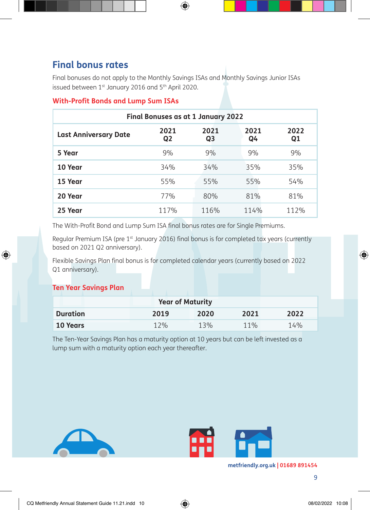### **Final bonus rates**

Final bonuses do not apply to the Monthly Savings ISAs and Monthly Savings Junior ISAs issued between 1<sup>st</sup> January 2016 and 5<sup>th</sup> April 2020.

#### **With-Profit Bonds and Lump Sum ISAs**

| Final Bonuses as at 1 January 2022                                                                           |      |      |      |      |  |  |  |
|--------------------------------------------------------------------------------------------------------------|------|------|------|------|--|--|--|
| 2021<br>2021<br>2021<br>2022<br><b>Last Anniversary Date</b><br>Q <sub>2</sub><br>Q <sub>3</sub><br>Q4<br>Q1 |      |      |      |      |  |  |  |
| 5 Year                                                                                                       | 9%   | 9%   | 9%   | 9%   |  |  |  |
| 10 Year                                                                                                      | 34%  | 34%  | 35%  | 35%  |  |  |  |
| 15 Year                                                                                                      | 55%  | 55%  | 55%  | 54%  |  |  |  |
| 20 Year                                                                                                      | 77%  | 80%  | 81%  | 81%  |  |  |  |
| 25 Year                                                                                                      | 117% | 116% | 114% | 112% |  |  |  |

The With-Profit Bond and Lump Sum ISA final bonus rates are for Single Premiums.

Regular Premium ISA (pre 1<sup>st</sup> January 2016) final bonus is for completed tax years (currently based on 2021 Q2 anniversary).

Flexible Savings Plan final bonus is for completed calendar years (currently based on 2022 Q1 anniversary).

#### **Ten Year Savings Plan**

| <b>Year of Maturity</b> |                              |     |     |     |  |  |  |  |  |
|-------------------------|------------------------------|-----|-----|-----|--|--|--|--|--|
| <b>Duration</b>         | 2019<br>2021<br>2022<br>2020 |     |     |     |  |  |  |  |  |
| 10 Years                | 12%                          | 13% | 11% | 14% |  |  |  |  |  |

The Ten-Year Savings Plan has a maturity option at 10 years but can be left invested as a lump sum with a maturity option each year thereafter.





**metfriendly.org.uk | 01689 891454**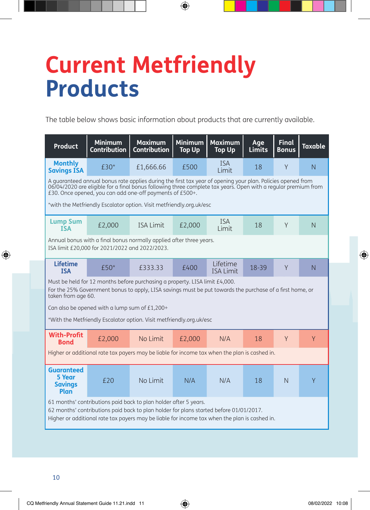## **Current Metfriendly Products**

The table below shows basic information about products that are currently available.

| <b>Product</b>                                                                                                                                                                                                                                                 | <b>Minimum</b><br><b>Contribution</b>          | <b>Maximum</b><br><b>Contribution</b>                                                                                                                                                                                                                                                                                                                             | <b>Minimum</b><br><b>Top Up</b> | <b>Maximum</b><br>Top Up     | Age<br><b>Limits</b> | <b>Final</b><br><b>Bonus</b> | <b>Taxable</b> |
|----------------------------------------------------------------------------------------------------------------------------------------------------------------------------------------------------------------------------------------------------------------|------------------------------------------------|-------------------------------------------------------------------------------------------------------------------------------------------------------------------------------------------------------------------------------------------------------------------------------------------------------------------------------------------------------------------|---------------------------------|------------------------------|----------------------|------------------------------|----------------|
| <b>Monthly</b><br><b>Savings ISA</b>                                                                                                                                                                                                                           | $£30*$                                         | £1,666.66                                                                                                                                                                                                                                                                                                                                                         | £500                            | ISA.<br>Limit                | 18                   | Y                            | N              |
|                                                                                                                                                                                                                                                                |                                                | A quaranteed annual bonus rate applies during the first tax year of opening your plan. Policies opened from<br>06/04/2020 are eligible for a final bonus following three complete tax years. Open with a regular premium from<br>£30. Once opened, you can add one-off payments of £500+.<br>*with the Metfriendly Escalator option. Visit metfriendly.org.uk/esc |                                 |                              |                      |                              |                |
| <b>Lump Sum</b><br><b>ISA</b>                                                                                                                                                                                                                                  | £2,000                                         | <b>ISA Limit</b>                                                                                                                                                                                                                                                                                                                                                  | £2,000                          | <b>ISA</b><br>I imit         | 18                   | Y                            | $\mathsf{N}$   |
|                                                                                                                                                                                                                                                                | ISA limit £20,000 for 2021/2022 and 2022/2023. | Annual bonus with a final bonus normally applied after three years.                                                                                                                                                                                                                                                                                               |                                 |                              |                      |                              |                |
| <b>Lifetime</b><br><b>ISA</b>                                                                                                                                                                                                                                  | $£50*$                                         | £333.33                                                                                                                                                                                                                                                                                                                                                           | f400                            | Lifetime<br><b>ISA Limit</b> | 18-39                | Y                            | N              |
| Must be held for 12 months before purchasing a property. LISA limit £4,000.<br>For the 25% Government bonus to apply, LISA savings must be put towards the purchase of a first home, or<br>taken from age 60.<br>Can also be opened with a lump sum of £1,200+ |                                                |                                                                                                                                                                                                                                                                                                                                                                   |                                 |                              |                      |                              |                |
|                                                                                                                                                                                                                                                                |                                                | *With the Metfriendly Escalator option. Visit metfriendly.org.uk/esc                                                                                                                                                                                                                                                                                              |                                 |                              |                      |                              |                |
| <b>With-Profit</b><br><b>Bond</b>                                                                                                                                                                                                                              | £2,000                                         | No Limit                                                                                                                                                                                                                                                                                                                                                          | £2,000                          | N/A                          | 18                   | Y                            | Y              |
| Higher or additional rate tax payers may be liable for income tax when the plan is cashed in.                                                                                                                                                                  |                                                |                                                                                                                                                                                                                                                                                                                                                                   |                                 |                              |                      |                              |                |
| <b>Guaranteed</b><br>5 Year<br><b>Savings</b><br>Plan                                                                                                                                                                                                          | f20                                            | No Limit                                                                                                                                                                                                                                                                                                                                                          | N/A                             | N/A                          | 18                   | N                            | Y              |
| 61 months' contributions paid back to plan holder after 5 years.<br>62 months' contributions paid back to plan holder for plans started before 01/01/2017.<br>Higher or additional rate tax payers may be liable for income tax when the plan is cashed in.    |                                                |                                                                                                                                                                                                                                                                                                                                                                   |                                 |                              |                      |                              |                |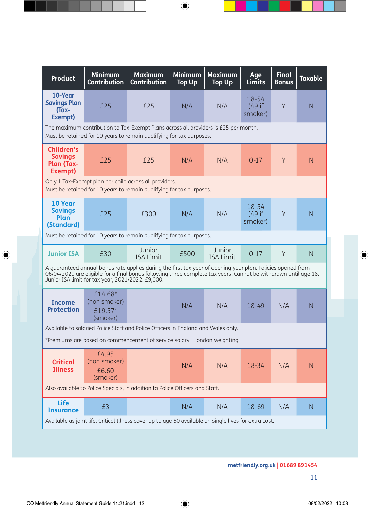| <b>Product</b>                                                                                         | <b>Minimum</b><br><b>Contribution</b>             | <b>Maximum</b><br><b>Contribution</b>                                                                                                                                                                                          | <b>Minimum</b><br><b>Top Up</b> | Maximum<br><b>Top Up</b>   | Age<br>Limits                 | <b>Final</b><br><b>Bonus</b> | <b>Taxable</b> |
|--------------------------------------------------------------------------------------------------------|---------------------------------------------------|--------------------------------------------------------------------------------------------------------------------------------------------------------------------------------------------------------------------------------|---------------------------------|----------------------------|-------------------------------|------------------------------|----------------|
| 10-Year<br><b>Savings Plan</b><br>(Tax-<br>Exempt)                                                     | £25                                               | £25                                                                                                                                                                                                                            | N/A                             | N/A                        | 18-54<br>$(49)$ if<br>smoker) | Y                            | N              |
|                                                                                                        |                                                   | The maximum contribution to Tax-Exempt Plans across all providers is £25 per month.<br>Must be retained for 10 years to remain qualifying for tax purposes.                                                                    |                                 |                            |                               |                              |                |
| Children's<br>Savings<br><b>Plan (Tax-</b><br>Exempt)                                                  | £25                                               | £25                                                                                                                                                                                                                            | N/A                             | N/A                        | $0 - 17$                      | Y                            | N              |
|                                                                                                        |                                                   | Only 1 Tax-Exempt plan per child across all providers.<br>Must be retained for 10 years to remain qualifying for tax purposes.                                                                                                 |                                 |                            |                               |                              |                |
| 10 Year<br>Savings<br><b>Plan</b><br>(Standard)                                                        | £25                                               | f300                                                                                                                                                                                                                           | N/A                             | N/A                        | 18-54<br>(49 if<br>smoker)    | Y                            | N              |
|                                                                                                        |                                                   | Must be retained for 10 years to remain qualifying for tax purposes.                                                                                                                                                           |                                 |                            |                               |                              |                |
| <b>Junior ISA</b>                                                                                      | £30                                               | Junior<br><b>ISA Limit</b>                                                                                                                                                                                                     | £500                            | Junior<br><b>ISA Limit</b> | $0 - 17$                      | Y                            | N.             |
|                                                                                                        | Junior ISA limit for tax year, 2021/2022: £9,000. | A guaranteed annual bonus rate applies during the first tax year of opening your plan. Policies opened from<br>06/04/2020 are eligible for a final bonus following three complete tax years. Cannot be withdrawn until age 18. |                                 |                            |                               |                              |                |
| <b>Income</b><br><b>Protection</b>                                                                     | £14.68*<br>(non smoker)<br>£19.57*<br>(smoker)    |                                                                                                                                                                                                                                | N/A                             | N/A                        | $18 - 49$                     | N/A                          | N              |
|                                                                                                        |                                                   | Available to salaried Police Staff and Police Officers in England and Wales only.                                                                                                                                              |                                 |                            |                               |                              |                |
|                                                                                                        |                                                   | *Premiums are based on commencement of service salary+ London weighting.                                                                                                                                                       |                                 |                            |                               |                              |                |
| Critical<br><b>Illness</b>                                                                             | £4.95<br>(non smoker)<br>£6.60<br>(smoker)        |                                                                                                                                                                                                                                | N/A                             | N/A                        | $18 - 34$                     | N/A                          | N              |
| Also available to Police Specials, in addition to Police Officers and Staff.                           |                                                   |                                                                                                                                                                                                                                |                                 |                            |                               |                              |                |
| <b>Life</b><br><b>Insurance</b>                                                                        | £3                                                |                                                                                                                                                                                                                                | N/A                             | N/A                        | $18 - 69$                     | N/A                          | N.             |
| Available as joint life. Critical Illness cover up to age 60 available on single lives for extra cost. |                                                   |                                                                                                                                                                                                                                |                                 |                            |                               |                              |                |